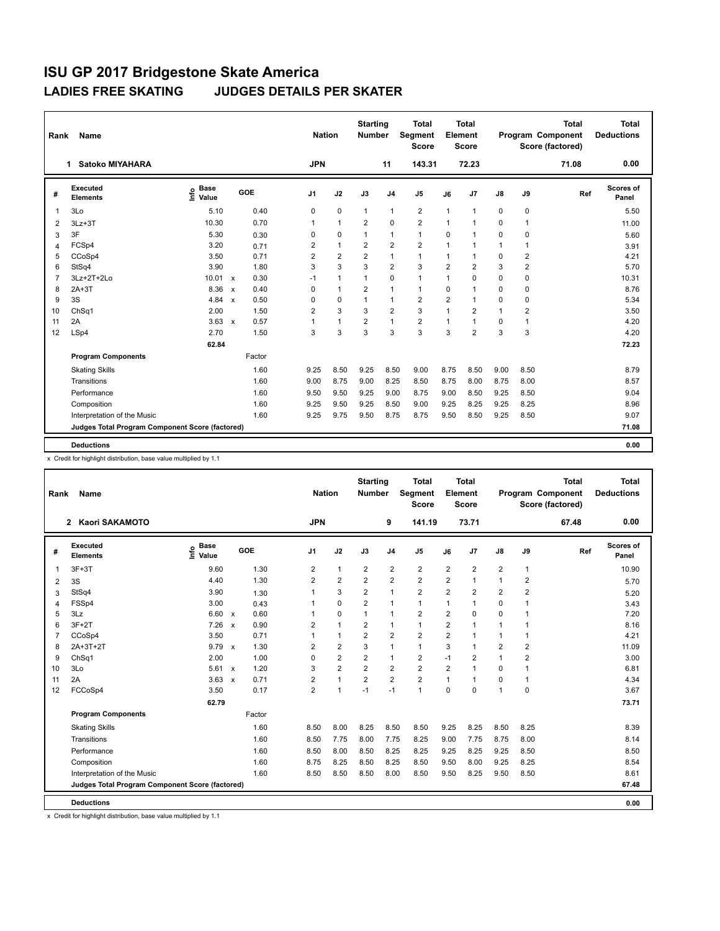| Rank           | <b>Name</b>                                     |                                             |                           |        | <b>Nation</b>  |                | <b>Starting</b><br><b>Number</b> |                | <b>Total</b><br>Segment<br><b>Score</b> |                | <b>Total</b><br>Element<br><b>Score</b> |               |                | <b>Total</b><br>Program Component<br>Score (factored) | <b>Total</b><br><b>Deductions</b> |
|----------------|-------------------------------------------------|---------------------------------------------|---------------------------|--------|----------------|----------------|----------------------------------|----------------|-----------------------------------------|----------------|-----------------------------------------|---------------|----------------|-------------------------------------------------------|-----------------------------------|
|                | <b>Satoko MIYAHARA</b><br>1.                    |                                             |                           |        | <b>JPN</b>     |                |                                  | 11             | 143.31                                  |                | 72.23                                   |               |                | 71.08                                                 | 0.00                              |
| #              | Executed<br><b>Elements</b>                     | <b>Base</b><br>e <sup>Base</sup><br>⊆ Value |                           | GOE    | J <sub>1</sub> | J2             | J3                               | J <sub>4</sub> | J <sub>5</sub>                          | J6             | J7                                      | $\mathsf{J}8$ | J9             | Ref                                                   | <b>Scores of</b><br>Panel         |
|                | 3Lo                                             | 5.10                                        |                           | 0.40   | 0              | 0              | $\mathbf{1}$                     | $\mathbf{1}$   | $\overline{2}$                          | $\mathbf{1}$   | $\overline{1}$                          | 0             | 0              |                                                       | 5.50                              |
| $\overline{2}$ | $3Lz + 3T$                                      | 10.30                                       |                           | 0.70   | 1              | $\mathbf{1}$   | 2                                | $\Omega$       | $\overline{2}$                          | $\mathbf{1}$   | $\overline{1}$                          | $\Omega$      | $\mathbf{1}$   |                                                       | 11.00                             |
| 3              | 3F                                              | 5.30                                        |                           | 0.30   | 0              | 0              | $\mathbf{1}$                     | 1              | $\mathbf{1}$                            | $\mathbf 0$    |                                         | $\mathbf 0$   | 0              |                                                       | 5.60                              |
| $\overline{4}$ | FCSp4                                           | 3.20                                        |                           | 0.71   | $\overline{2}$ | $\mathbf{1}$   | $\overline{2}$                   | $\overline{2}$ | $\overline{2}$                          | $\mathbf{1}$   | $\overline{1}$                          | $\mathbf{1}$  | 1              |                                                       | 3.91                              |
| 5              | CCoSp4                                          | 3.50                                        |                           | 0.71   | $\overline{2}$ | $\overline{2}$ | $\overline{2}$                   | $\mathbf{1}$   | $\mathbf{1}$                            | $\mathbf{1}$   | 1                                       | 0             | 2              |                                                       | 4.21                              |
| 6              | StSq4                                           | 3.90                                        |                           | 1.80   | 3              | 3              | 3                                | $\overline{2}$ | 3                                       | $\overline{2}$ | $\overline{2}$                          | 3             | $\overline{2}$ |                                                       | 5.70                              |
| 7              | 3Lz+2T+2Lo                                      | 10.01                                       | $\mathsf{x}$              | 0.30   | $-1$           | $\mathbf{1}$   | $\mathbf{1}$                     | $\Omega$       | $\mathbf{1}$                            | $\mathbf{1}$   | $\Omega$                                | 0             | 0              |                                                       | 10.31                             |
| 8              | $2A+3T$                                         | 8.36                                        | $\mathsf{x}$              | 0.40   | $\Omega$       | $\mathbf{1}$   | $\overline{2}$                   | 1              | $\mathbf{1}$                            | $\mathbf 0$    | $\overline{1}$                          | $\Omega$      | $\Omega$       |                                                       | 8.76                              |
| 9              | 3S                                              | 4.84                                        | $\boldsymbol{\mathsf{x}}$ | 0.50   | 0              | 0              | 1                                | 1              | $\overline{2}$                          | $\overline{2}$ | $\overline{1}$                          | 0             | 0              |                                                       | 5.34                              |
| 10             | ChSq1                                           | 2.00                                        |                           | 1.50   | $\overline{2}$ | 3              | 3                                | $\overline{2}$ | 3                                       | $\mathbf{1}$   | $\overline{2}$                          | $\mathbf{1}$  | $\overline{2}$ |                                                       | 3.50                              |
| 11             | 2A                                              | 3.63                                        | $\mathsf{x}$              | 0.57   | $\mathbf 1$    | $\mathbf{1}$   | $\overline{2}$                   | $\mathbf{1}$   | $\overline{2}$                          | $\mathbf{1}$   | $\overline{1}$                          | 0             | $\mathbf{1}$   |                                                       | 4.20                              |
| 12             | LSp4                                            | 2.70                                        |                           | 1.50   | 3              | 3              | 3                                | 3              | 3                                       | 3              | $\overline{2}$                          | 3             | 3              |                                                       | 4.20                              |
|                |                                                 | 62.84                                       |                           |        |                |                |                                  |                |                                         |                |                                         |               |                |                                                       | 72.23                             |
|                | <b>Program Components</b>                       |                                             |                           | Factor |                |                |                                  |                |                                         |                |                                         |               |                |                                                       |                                   |
|                | <b>Skating Skills</b>                           |                                             |                           | 1.60   | 9.25           | 8.50           | 9.25                             | 8.50           | 9.00                                    | 8.75           | 8.50                                    | 9.00          | 8.50           |                                                       | 8.79                              |
|                | Transitions                                     |                                             |                           | 1.60   | 9.00           | 8.75           | 9.00                             | 8.25           | 8.50                                    | 8.75           | 8.00                                    | 8.75          | 8.00           |                                                       | 8.57                              |
|                | Performance                                     |                                             |                           | 1.60   | 9.50           | 9.50           | 9.25                             | 9.00           | 8.75                                    | 9.00           | 8.50                                    | 9.25          | 8.50           |                                                       | 9.04                              |
|                | Composition                                     |                                             |                           | 1.60   | 9.25           | 9.50           | 9.25                             | 8.50           | 9.00                                    | 9.25           | 8.25                                    | 9.25          | 8.25           |                                                       | 8.96                              |
|                | Interpretation of the Music                     |                                             |                           | 1.60   | 9.25           | 9.75           | 9.50                             | 8.75           | 8.75                                    | 9.50           | 8.50                                    | 9.25          | 8.50           |                                                       | 9.07                              |
|                | Judges Total Program Component Score (factored) |                                             |                           |        |                |                |                                  |                |                                         |                |                                         |               |                |                                                       | 71.08                             |
|                | <b>Deductions</b>                               |                                             |                           |        |                |                |                                  |                |                                         |                |                                         |               |                |                                                       | 0.00                              |

x Credit for highlight distribution, base value multiplied by 1.1

| Rank | <b>Name</b><br>Kaori SAKAMOTO<br>$\overline{2}$ |                              |                                   |                | <b>Nation</b>  | <b>Starting</b><br><b>Number</b> |                | Total<br>Segment<br><b>Score</b> |                | <b>Total</b><br>Element<br><b>Score</b> |                |                | <b>Total</b><br>Program Component<br>Score (factored) | <b>Total</b><br><b>Deductions</b> |
|------|-------------------------------------------------|------------------------------|-----------------------------------|----------------|----------------|----------------------------------|----------------|----------------------------------|----------------|-----------------------------------------|----------------|----------------|-------------------------------------------------------|-----------------------------------|
|      |                                                 |                              |                                   | <b>JPN</b>     |                |                                  | 9              | 141.19                           |                | 73.71                                   |                |                | 67.48                                                 | 0.00                              |
| #    | Executed<br><b>Elements</b>                     | <b>Base</b><br>١nfo<br>Value | GOE                               | J <sub>1</sub> | J2             | J3                               | J <sub>4</sub> | J <sub>5</sub>                   | J6             | J7                                      | $\mathsf{J}8$  | J9             | Ref                                                   | <b>Scores of</b><br>Panel         |
| 1    | $3F+3T$                                         | 9.60                         | 1.30                              | $\overline{2}$ | $\mathbf{1}$   | $\overline{2}$                   | $\overline{2}$ | $\overline{\mathbf{c}}$          | $\overline{2}$ | $\overline{2}$                          | $\overline{2}$ | 1              |                                                       | 10.90                             |
| 2    | 3S                                              | 4.40                         | 1.30                              | $\overline{2}$ | $\overline{2}$ | $\overline{2}$                   | $\overline{2}$ | $\overline{2}$                   | $\overline{2}$ | $\mathbf 1$                             | 1              | $\overline{2}$ |                                                       | 5.70                              |
| 3    | StSq4                                           | 3.90                         | 1.30                              | 1              | 3              | 2                                | $\mathbf{1}$   | $\overline{2}$                   | $\overline{2}$ | $\overline{2}$                          | $\overline{2}$ | $\overline{2}$ |                                                       | 5.20                              |
| 4    | FSSp4                                           | 3.00                         | 0.43                              | 1              | $\mathbf 0$    | $\overline{2}$                   | $\mathbf{1}$   | $\mathbf{1}$                     | 1              | 1                                       | 0              | 1              |                                                       | 3.43                              |
| 5    | 3Lz                                             | 6.60                         | 0.60<br>$\mathsf{x}$              | 1              | $\mathbf 0$    | $\mathbf{1}$                     | $\mathbf{1}$   | $\overline{2}$                   | $\overline{2}$ | $\mathbf 0$                             | 0              | 1              |                                                       | 7.20                              |
| 6    | $3F+2T$                                         | 7.26                         | 0.90<br>$\mathsf{x}$              | 2              | $\mathbf{1}$   | 2                                | $\mathbf{1}$   | $\mathbf{1}$                     | $\overline{2}$ | 1                                       | 1              | 1              |                                                       | 8.16                              |
| 7    | CCoSp4                                          | 3.50                         | 0.71                              | 1              | $\mathbf{1}$   | $\overline{2}$                   | $\overline{2}$ | $\overline{2}$                   | $\overline{2}$ | 1                                       | 1              | 1              |                                                       | 4.21                              |
| 8    | $2A+3T+2T$                                      | $9.79 \times$                | 1.30                              | 2              | $\overline{2}$ | 3                                | $\mathbf{1}$   | $\mathbf{1}$                     | 3              | 1                                       | $\overline{2}$ | $\overline{2}$ |                                                       | 11.09                             |
| 9    | ChSq1                                           | 2.00                         | 1.00                              | 0              | $\overline{2}$ | $\overline{2}$                   | $\mathbf{1}$   | $\overline{2}$                   | $-1$           | $\overline{2}$                          | 1              | $\overline{2}$ |                                                       | 3.00                              |
| 10   | 3Lo                                             | 5.61                         | 1.20<br>$\boldsymbol{\mathsf{x}}$ | 3              | $\overline{2}$ | $\overline{2}$                   | $\overline{2}$ | $\overline{2}$                   | $\overline{2}$ | $\mathbf 1$                             | 0              | 1              |                                                       | 6.81                              |
| 11   | 2A                                              | 3.63                         | 0.71<br>$\mathsf{x}$              | $\overline{2}$ | $\mathbf{1}$   | $\overline{2}$                   | $\overline{2}$ | $\overline{2}$                   | 1              | $\overline{1}$                          | 0              | 1              |                                                       | 4.34                              |
| 12   | FCCoSp4                                         | 3.50                         | 0.17                              | $\overline{2}$ | $\mathbf{1}$   | $-1$                             | $-1$           | $\mathbf{1}$                     | $\Omega$       | $\Omega$                                | 1              | 0              |                                                       | 3.67                              |
|      |                                                 | 62.79                        |                                   |                |                |                                  |                |                                  |                |                                         |                |                |                                                       | 73.71                             |
|      | <b>Program Components</b>                       |                              | Factor                            |                |                |                                  |                |                                  |                |                                         |                |                |                                                       |                                   |
|      | <b>Skating Skills</b>                           |                              | 1.60                              | 8.50           | 8.00           | 8.25                             | 8.50           | 8.50                             | 9.25           | 8.25                                    | 8.50           | 8.25           |                                                       | 8.39                              |
|      | Transitions                                     |                              | 1.60                              | 8.50           | 7.75           | 8.00                             | 7.75           | 8.25                             | 9.00           | 7.75                                    | 8.75           | 8.00           |                                                       | 8.14                              |
|      | Performance                                     |                              | 1.60                              | 8.50           | 8.00           | 8.50                             | 8.25           | 8.25                             | 9.25           | 8.25                                    | 9.25           | 8.50           |                                                       | 8.50                              |
|      | Composition                                     |                              | 1.60                              | 8.75           | 8.25           | 8.50                             | 8.25           | 8.50                             | 9.50           | 8.00                                    | 9.25           | 8.25           |                                                       | 8.54                              |
|      | Interpretation of the Music                     |                              | 1.60                              | 8.50           | 8.50           | 8.50                             | 8.00           | 8.50                             | 9.50           | 8.25                                    | 9.50           | 8.50           |                                                       | 8.61                              |
|      | Judges Total Program Component Score (factored) |                              |                                   |                |                |                                  |                |                                  |                |                                         |                |                |                                                       | 67.48                             |
|      | <b>Deductions</b>                               |                              |                                   |                |                |                                  |                |                                  |                |                                         |                |                |                                                       | 0.00                              |

x Credit for highlight distribution, base value multiplied by 1.1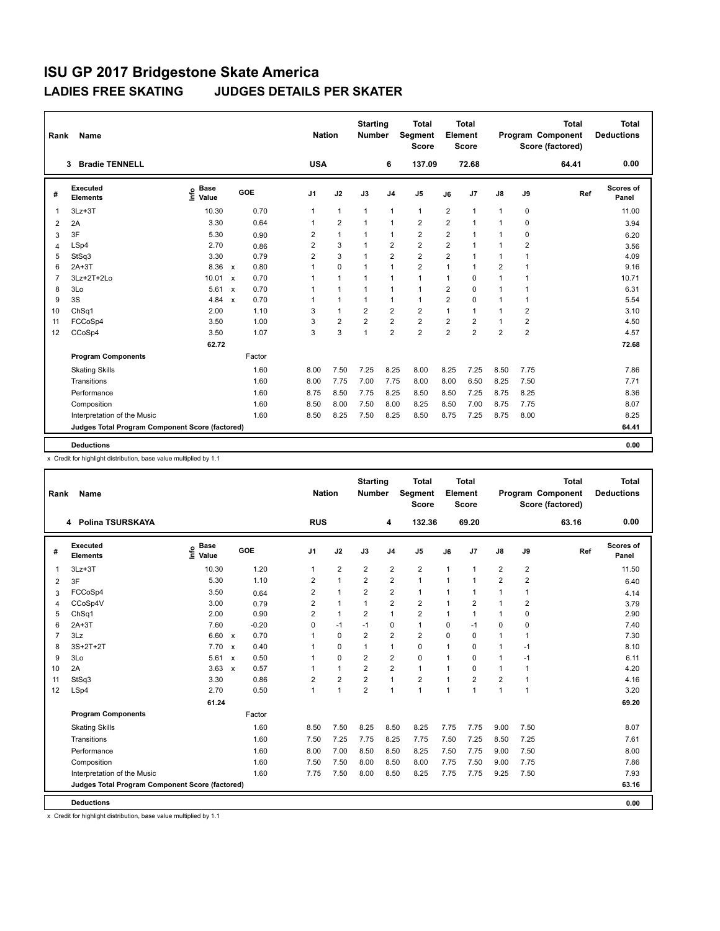| Rank           | <b>Name</b>                                     |                                             |                                   | <b>Nation</b>  |                | <b>Starting</b><br><b>Number</b> |                | <b>Total</b><br>Segment<br><b>Score</b> |                | <b>Total</b><br>Element<br>Score |                |                | <b>Total</b><br>Program Component<br>Score (factored) | <b>Total</b><br><b>Deductions</b> |
|----------------|-------------------------------------------------|---------------------------------------------|-----------------------------------|----------------|----------------|----------------------------------|----------------|-----------------------------------------|----------------|----------------------------------|----------------|----------------|-------------------------------------------------------|-----------------------------------|
|                | <b>Bradie TENNELL</b><br>3.                     |                                             |                                   | <b>USA</b>     |                |                                  | 6              | 137.09                                  |                | 72.68                            |                |                | 64.41                                                 | 0.00                              |
| #              | Executed<br><b>Elements</b>                     | <b>Base</b><br>e <sup>Base</sup><br>⊆ Value | GOE                               | J <sub>1</sub> | J2             | J3                               | J <sub>4</sub> | J <sub>5</sub>                          | J6             | J7                               | $\mathsf{J}8$  | J9             | Ref                                                   | <b>Scores of</b><br>Panel         |
|                | $3Lz + 3T$                                      | 10.30                                       | 0.70                              | 1              | $\mathbf{1}$   | $\mathbf{1}$                     | $\mathbf{1}$   | $\mathbf{1}$                            | 2              | $\overline{1}$                   | $\mathbf{1}$   | 0              |                                                       | 11.00                             |
| $\overline{2}$ | 2A                                              | 3.30                                        | 0.64                              | $\mathbf{1}$   | $\overline{2}$ | $\mathbf{1}$                     | $\mathbf{1}$   | $\overline{2}$                          | $\overline{2}$ | $\overline{1}$                   | $\mathbf{1}$   | $\Omega$       |                                                       | 3.94                              |
| 3              | 3F                                              | 5.30                                        | 0.90                              | 2              | $\mathbf{1}$   | $\mathbf{1}$                     | $\mathbf{1}$   | 2                                       | $\overline{2}$ |                                  | 1              | 0              |                                                       | 6.20                              |
| $\overline{4}$ | LSp4                                            | 2.70                                        | 0.86                              | $\overline{2}$ | 3              | $\mathbf{1}$                     | $\overline{2}$ | $\overline{2}$                          | $\overline{2}$ | $\overline{1}$                   | $\mathbf{1}$   | $\overline{2}$ |                                                       | 3.56                              |
| 5              | StSq3                                           | 3.30                                        | 0.79                              | $\overline{2}$ | 3              | $\mathbf{1}$                     | $\overline{2}$ | $\overline{2}$                          | $\overline{2}$ | $\overline{1}$                   | $\mathbf{1}$   | 1              |                                                       | 4.09                              |
| 6              | $2A+3T$                                         | 8.36                                        | 0.80<br>$\mathsf{x}$              | $\mathbf 1$    | 0              | $\mathbf{1}$                     | 1              | $\overline{2}$                          | $\mathbf{1}$   | -1                               | $\overline{2}$ |                |                                                       | 9.16                              |
| 7              | 3Lz+2T+2Lo                                      | 10.01                                       | 0.70<br>$\mathsf{x}$              |                | $\mathbf{1}$   | $\mathbf{1}$                     | 1              | $\mathbf{1}$                            | $\mathbf{1}$   | 0                                | $\mathbf{1}$   |                |                                                       | 10.71                             |
| 8              | 3Lo                                             | 5.61                                        | 0.70<br>$\mathsf{x}$              | 1              | $\mathbf{1}$   | $\mathbf{1}$                     | $\mathbf{1}$   | $\mathbf{1}$                            | $\overline{2}$ | $\Omega$                         | $\mathbf{1}$   |                |                                                       | 6.31                              |
| 9              | 3S                                              | 4.84                                        | 0.70<br>$\boldsymbol{\mathsf{x}}$ |                | $\mathbf{1}$   | $\mathbf{1}$                     | 1              | $\mathbf{1}$                            | $\overline{2}$ | 0                                | $\mathbf{1}$   | 1              |                                                       | 5.54                              |
| 10             | ChSq1                                           | 2.00                                        | 1.10                              | 3              | $\mathbf{1}$   | $\overline{2}$                   | $\overline{2}$ | $\overline{2}$                          | $\mathbf{1}$   | 1                                | $\mathbf{1}$   | $\overline{2}$ |                                                       | 3.10                              |
| 11             | FCCoSp4                                         | 3.50                                        | 1.00                              | 3              | $\overline{2}$ | $\overline{2}$                   | $\overline{2}$ | $\overline{2}$                          | $\overline{2}$ | $\overline{2}$                   | $\mathbf{1}$   | $\overline{2}$ |                                                       | 4.50                              |
| 12             | CCoSp4                                          | 3.50                                        | 1.07                              | 3              | 3              | $\mathbf{1}$                     | $\overline{2}$ | $\overline{2}$                          | $\overline{2}$ | $\overline{2}$                   | $\overline{2}$ | $\overline{2}$ |                                                       | 4.57                              |
|                |                                                 | 62.72                                       |                                   |                |                |                                  |                |                                         |                |                                  |                |                |                                                       | 72.68                             |
|                | <b>Program Components</b>                       |                                             | Factor                            |                |                |                                  |                |                                         |                |                                  |                |                |                                                       |                                   |
|                | <b>Skating Skills</b>                           |                                             | 1.60                              | 8.00           | 7.50           | 7.25                             | 8.25           | 8.00                                    | 8.25           | 7.25                             | 8.50           | 7.75           |                                                       | 7.86                              |
|                | Transitions                                     |                                             | 1.60                              | 8.00           | 7.75           | 7.00                             | 7.75           | 8.00                                    | 8.00           | 6.50                             | 8.25           | 7.50           |                                                       | 7.71                              |
|                | Performance                                     |                                             | 1.60                              | 8.75           | 8.50           | 7.75                             | 8.25           | 8.50                                    | 8.50           | 7.25                             | 8.75           | 8.25           |                                                       | 8.36                              |
|                | Composition                                     |                                             | 1.60                              | 8.50           | 8.00           | 7.50                             | 8.00           | 8.25                                    | 8.50           | 7.00                             | 8.75           | 7.75           |                                                       | 8.07                              |
|                | Interpretation of the Music                     |                                             | 1.60                              | 8.50           | 8.25           | 7.50                             | 8.25           | 8.50                                    | 8.75           | 7.25                             | 8.75           | 8.00           |                                                       | 8.25                              |
|                | Judges Total Program Component Score (factored) |                                             |                                   |                |                |                                  |                |                                         |                |                                  |                |                |                                                       | 64.41                             |
|                | <b>Deductions</b>                               |                                             |                                   |                |                |                                  |                |                                         |                |                                  |                |                |                                                       | 0.00                              |

x Credit for highlight distribution, base value multiplied by 1.1

| <b>Name</b><br>Rank                |                            |                                   |                                                                         |                |                             |                | <b>Total</b><br><b>Score</b>     |                |                |                                         |                | <b>Total</b> | <b>Total</b><br><b>Deductions</b>     |
|------------------------------------|----------------------------|-----------------------------------|-------------------------------------------------------------------------|----------------|-----------------------------|----------------|----------------------------------|----------------|----------------|-----------------------------------------|----------------|--------------|---------------------------------------|
| 4 Polina TSURSKAYA                 |                            |                                   |                                                                         |                |                             | 4              | 132.36                           |                | 69.20          |                                         |                | 63.16        | 0.00                                  |
| <b>Executed</b><br><b>Elements</b> | e Base<br>⊆ Value<br>Value | GOE                               | J <sub>1</sub>                                                          | J2             | J3                          | J <sub>4</sub> | J <sub>5</sub>                   | J6             | J7             | $\mathsf{J}8$                           | J9             | Ref          | Scores of<br>Panel                    |
| $3Lz + 3T$                         | 10.30                      | 1.20                              | $\mathbf{1}$                                                            | $\overline{2}$ | $\overline{2}$              | $\overline{2}$ | $\overline{2}$                   | $\overline{1}$ | 1              | $\overline{2}$                          | $\overline{2}$ |              | 11.50                                 |
| 3F                                 | 5.30                       | 1.10                              | $\overline{2}$                                                          | $\mathbf{1}$   | $\overline{2}$              | $\overline{2}$ | $\mathbf{1}$                     | $\mathbf{1}$   | 1              | $\overline{2}$                          | $\overline{2}$ |              | 6.40                                  |
| FCCoSp4                            | 3.50                       | 0.64                              | 2                                                                       | $\mathbf{1}$   | $\overline{2}$              | $\overline{2}$ | $\mathbf{1}$                     | 1              | 1              | 1                                       | 1              |              | 4.14                                  |
| CCoSp4V                            | 3.00                       | 0.79                              | $\overline{2}$                                                          | $\mathbf{1}$   | $\mathbf{1}$                | $\overline{2}$ | $\overline{2}$                   | 1              | $\overline{2}$ | 1                                       | $\overline{2}$ |              | 3.79                                  |
| ChSq1                              | 2.00                       | 0.90                              | $\overline{2}$                                                          | $\mathbf{1}$   | $\overline{2}$              | $\mathbf{1}$   | $\overline{2}$                   | $\mathbf{1}$   | $\mathbf{1}$   | 1                                       | 0              |              | 2.90                                  |
| $2A+3T$                            | 7.60                       | $-0.20$                           | $\Omega$                                                                | $-1$           | $-1$                        | $\mathbf 0$    | $\mathbf{1}$                     | 0              | $-1$           | 0                                       | 0              |              | 7.40                                  |
| 3Lz                                | 6.60                       | 0.70<br>$\mathsf{x}$              | 1                                                                       | $\mathbf 0$    | $\overline{2}$              | $\overline{2}$ | $\overline{2}$                   | $\Omega$       | 0              | 1                                       | 1              |              | 7.30                                  |
| $3S+2T+2T$                         | 7.70                       | 0.40<br>$\mathsf{x}$              | 1                                                                       | $\mathbf 0$    | 1                           | $\mathbf{1}$   | $\mathbf 0$                      | 1              | 0              | $\mathbf{1}$                            | $-1$           |              | 8.10                                  |
| 3Lo                                | 5.61                       | 0.50<br>$\boldsymbol{\mathsf{x}}$ | 1                                                                       | $\mathbf 0$    | $\overline{2}$              | $\overline{2}$ | $\mathbf 0$                      | 1              | 0              | $\mathbf{1}$                            | $-1$           |              | 6.11                                  |
| 2A                                 |                            | 0.57                              | 1                                                                       | $\mathbf{1}$   | $\overline{2}$              | $\overline{2}$ | $\mathbf{1}$                     | 1              | $\Omega$       | $\mathbf{1}$                            | 1              |              | 4.20                                  |
| StSq3                              | 3.30                       | 0.86                              | $\overline{2}$                                                          | $\overline{2}$ | $\overline{2}$              | $\mathbf{1}$   | $\overline{2}$                   | $\mathbf{1}$   | $\overline{2}$ | $\overline{2}$                          | 1              |              | 4.16                                  |
| LSp4                               | 2.70                       | 0.50                              | $\mathbf{1}$                                                            | $\mathbf{1}$   | $\overline{2}$              | $\mathbf{1}$   | $\mathbf{1}$                     | $\mathbf{1}$   | 1              | $\mathbf{1}$                            | 1              |              | 3.20                                  |
|                                    | 61.24                      |                                   |                                                                         |                |                             |                |                                  |                |                |                                         |                |              | 69.20                                 |
| <b>Program Components</b>          |                            | Factor                            |                                                                         |                |                             |                |                                  |                |                |                                         |                |              |                                       |
| <b>Skating Skills</b>              |                            | 1.60                              | 8.50                                                                    | 7.50           | 8.25                        | 8.50           | 8.25                             | 7.75           | 7.75           | 9.00                                    | 7.50           |              | 8.07                                  |
| Transitions                        |                            | 1.60                              | 7.50                                                                    | 7.25           | 7.75                        | 8.25           | 7.75                             | 7.50           | 7.25           | 8.50                                    | 7.25           |              | 7.61                                  |
| Performance                        |                            | 1.60                              | 8.00                                                                    | 7.00           | 8.50                        | 8.50           | 8.25                             | 7.50           | 7.75           | 9.00                                    | 7.50           |              | 8.00                                  |
| Composition                        |                            | 1.60                              | 7.50                                                                    | 7.50           | 8.00                        | 8.50           | 8.00                             | 7.75           | 7.50           | 9.00                                    | 7.75           |              | 7.86                                  |
| Interpretation of the Music        |                            | 1.60                              | 7.75                                                                    | 7.50           | 8.00                        | 8.50           | 8.25                             | 7.75           | 7.75           | 9.25                                    | 7.50           |              | 7.93                                  |
|                                    |                            |                                   |                                                                         |                |                             |                |                                  |                |                |                                         |                |              | 63.16                                 |
|                                    |                            |                                   |                                                                         |                |                             |                |                                  |                |                |                                         |                |              | 0.00                                  |
|                                    | <b>Deductions</b>          |                                   | $3.63 \times$<br><b>Judges Total Program Component Score (factored)</b> |                | <b>Nation</b><br><b>RUS</b> |                | <b>Starting</b><br><b>Number</b> | Segment        |                | <b>Total</b><br>Element<br><b>Score</b> |                |              | Program Component<br>Score (factored) |

x Credit for highlight distribution, base value multiplied by 1.1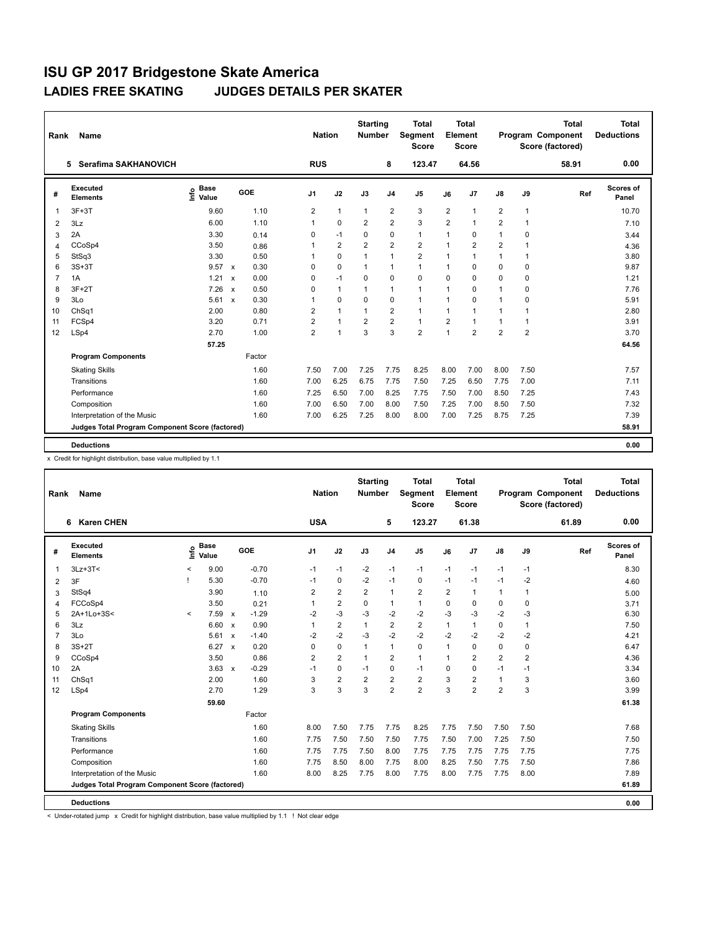| Rank           | <b>Name</b>                                     |                                             |                                   | <b>Nation</b>  |                | <b>Starting</b><br><b>Number</b> |                | <b>Total</b><br>Segment<br>Score |                | Total<br>Element<br><b>Score</b> |                |                | <b>Total</b><br><b>Program Component</b><br>Score (factored) | Total<br><b>Deductions</b> |
|----------------|-------------------------------------------------|---------------------------------------------|-----------------------------------|----------------|----------------|----------------------------------|----------------|----------------------------------|----------------|----------------------------------|----------------|----------------|--------------------------------------------------------------|----------------------------|
|                | Serafima SAKHANOVICH<br>5.                      |                                             |                                   | <b>RUS</b>     |                |                                  | 8              | 123.47                           |                | 64.56                            |                |                | 58.91                                                        | 0.00                       |
| #              | Executed<br><b>Elements</b>                     | <b>Base</b><br>e <sup>Base</sup><br>⊆ Value | <b>GOE</b>                        | J1             | J2             | J3                               | J <sub>4</sub> | J <sub>5</sub>                   | J6             | J7                               | $\mathsf{J}8$  | J9             | Ref                                                          | Scores of<br>Panel         |
| -1             | $3F+3T$                                         | 9.60                                        | 1.10                              | 2              | $\mathbf{1}$   | $\mathbf{1}$                     | 2              | 3                                | 2              | $\overline{1}$                   | 2              | $\mathbf{1}$   |                                                              | 10.70                      |
| $\overline{2}$ | 3Lz                                             | 6.00                                        | 1.10                              | $\mathbf{1}$   | 0              | $\overline{2}$                   | $\overline{2}$ | 3                                | $\overline{2}$ | $\overline{1}$                   | $\overline{2}$ | 1              |                                                              | 7.10                       |
| 3              | 2A                                              | 3.30                                        | 0.14                              | 0              | $-1$           | 0                                | $\mathbf 0$    | $\mathbf{1}$                     | $\mathbf{1}$   | $\Omega$                         | $\mathbf{1}$   | 0              |                                                              | 3.44                       |
| $\overline{4}$ | CCoSp4                                          | 3.50                                        | 0.86                              | 1              | $\overline{2}$ | $\overline{2}$                   | $\overline{2}$ | $\overline{2}$                   | $\mathbf{1}$   | $\overline{2}$                   | $\overline{2}$ | 1              |                                                              | 4.36                       |
| 5              | StSq3                                           | 3.30                                        | 0.50                              | 1              | 0              | $\mathbf{1}$                     | $\mathbf{1}$   | $\overline{2}$                   | $\mathbf{1}$   | 1                                | $\mathbf{1}$   | 1              |                                                              | 3.80                       |
| 6              | $3S+3T$                                         | 9.57                                        | 0.30<br>$\mathsf{x}$              | 0              | 0              | $\mathbf{1}$                     | 1              | $\mathbf{1}$                     | $\mathbf{1}$   | 0                                | 0              | 0              |                                                              | 9.87                       |
| $\overline{7}$ | 1A                                              | 1.21                                        | 0.00<br>$\mathsf{x}$              | 0              | $-1$           | 0                                | $\mathbf 0$    | $\mathbf 0$                      | $\mathbf 0$    | 0                                | 0              | $\mathbf 0$    |                                                              | 1.21                       |
| 8              | $3F+2T$                                         | 7.26                                        | 0.50<br>$\boldsymbol{\mathsf{x}}$ | 0              | $\mathbf{1}$   | $\mathbf{1}$                     | $\mathbf{1}$   | $\mathbf{1}$                     | $\mathbf{1}$   | $\Omega$                         | $\mathbf{1}$   | $\Omega$       |                                                              | 7.76                       |
| 9              | 3Lo                                             | 5.61                                        | 0.30<br>$\mathsf{x}$              | 1              | 0              | 0                                | $\mathbf 0$    | $\mathbf{1}$                     | $\mathbf{1}$   | 0                                | $\mathbf{1}$   | 0              |                                                              | 5.91                       |
| 10             | Ch <sub>Sq1</sub>                               | 2.00                                        | 0.80                              | 2              | $\mathbf{1}$   | $\mathbf{1}$                     | 2              | $\mathbf{1}$                     | $\mathbf{1}$   | $\overline{1}$                   | $\mathbf{1}$   | 1              |                                                              | 2.80                       |
| 11             | FCSp4                                           | 3.20                                        | 0.71                              | $\overline{2}$ | $\mathbf{1}$   | $\overline{2}$                   | $\overline{2}$ | $\mathbf{1}$                     | $\overline{2}$ | $\overline{1}$                   | $\mathbf{1}$   | 1              |                                                              | 3.91                       |
| 12             | LSp4                                            | 2.70                                        | 1.00                              | $\overline{2}$ | $\mathbf{1}$   | 3                                | 3              | $\overline{2}$                   | $\mathbf{1}$   | $\overline{2}$                   | $\overline{2}$ | $\overline{2}$ |                                                              | 3.70                       |
|                |                                                 | 57.25                                       |                                   |                |                |                                  |                |                                  |                |                                  |                |                |                                                              | 64.56                      |
|                | <b>Program Components</b>                       |                                             | Factor                            |                |                |                                  |                |                                  |                |                                  |                |                |                                                              |                            |
|                | <b>Skating Skills</b>                           |                                             | 1.60                              | 7.50           | 7.00           | 7.25                             | 7.75           | 8.25                             | 8.00           | 7.00                             | 8.00           | 7.50           |                                                              | 7.57                       |
|                | Transitions                                     |                                             | 1.60                              | 7.00           | 6.25           | 6.75                             | 7.75           | 7.50                             | 7.25           | 6.50                             | 7.75           | 7.00           |                                                              | 7.11                       |
|                | Performance                                     |                                             | 1.60                              | 7.25           | 6.50           | 7.00                             | 8.25           | 7.75                             | 7.50           | 7.00                             | 8.50           | 7.25           |                                                              | 7.43                       |
|                | Composition                                     |                                             | 1.60                              | 7.00           | 6.50           | 7.00                             | 8.00           | 7.50                             | 7.25           | 7.00                             | 8.50           | 7.50           |                                                              | 7.32                       |
|                | Interpretation of the Music                     |                                             | 1.60                              | 7.00           | 6.25           | 7.25                             | 8.00           | 8.00                             | 7.00           | 7.25                             | 8.75           | 7.25           |                                                              | 7.39                       |
|                | Judges Total Program Component Score (factored) |                                             |                                   |                |                |                                  |                |                                  |                |                                  |                |                |                                                              | 58.91                      |
|                |                                                 |                                             |                                   |                |                |                                  |                |                                  |                |                                  |                |                |                                                              |                            |
|                | <b>Deductions</b>                               |                                             |                                   |                |                |                                  |                |                                  |                |                                  |                |                |                                                              | 0.00                       |

x Credit for highlight distribution, base value multiplied by 1.1

| Rank           | Name                                            |         |                      |                           |            |                | <b>Nation</b> |                | <b>Starting</b><br><b>Number</b> |                | Total<br>Segment<br><b>Score</b> |                | Total<br>Element<br>Score |                |      | <b>Total</b><br><b>Program Component</b><br>Score (factored) | <b>Total</b><br><b>Deductions</b> |
|----------------|-------------------------------------------------|---------|----------------------|---------------------------|------------|----------------|---------------|----------------|----------------------------------|----------------|----------------------------------|----------------|---------------------------|----------------|------|--------------------------------------------------------------|-----------------------------------|
|                | <b>Karen CHEN</b><br>6                          |         |                      |                           |            |                | <b>USA</b>    |                |                                  | 5              | 123.27                           |                | 61.38                     |                |      | 61.89                                                        | 0.00                              |
| #              | Executed<br><b>Elements</b>                     | ۴ô      | <b>Base</b><br>Value |                           | <b>GOE</b> | J1             |               | J2             | J3                               | J <sub>4</sub> | J5                               | J6             | J7                        | $\mathsf{J}8$  | J9   | Ref                                                          | Scores of<br>Panel                |
| 1              | $3Lz + 3T <$                                    | $\,<\,$ | 9.00                 |                           | $-0.70$    | $-1$           |               | $-1$           | $-2$                             | $-1$           | $-1$                             | $-1$           | $-1$                      | $-1$           | $-1$ |                                                              | 8.30                              |
| 2              | 3F                                              | ı       | 5.30                 |                           | $-0.70$    | $-1$           |               | $\Omega$       | $-2$                             | $-1$           | $\Omega$                         | $-1$           | $-1$                      | $-1$           | $-2$ |                                                              | 4.60                              |
| 3              | StSq4                                           |         | 3.90                 |                           | 1.10       | 2              |               | 2              | $\overline{2}$                   | $\mathbf{1}$   | $\overline{2}$                   | $\overline{2}$ | $\overline{1}$            | $\mathbf{1}$   | 1    |                                                              | 5.00                              |
| 4              | FCCoSp4                                         |         | 3.50                 |                           | 0.21       |                |               | $\overline{2}$ | 0                                | $\mathbf{1}$   | $\mathbf{1}$                     | 0              | 0                         | 0              | 0    |                                                              | 3.71                              |
| 5              | 2A+1Lo+3S<                                      | $\prec$ | 7.59                 | $\mathsf{x}$              | $-1.29$    | $-2$           |               | $-3$           | $-3$                             | $-2$           | $-2$                             | $-3$           | $-3$                      | $-2$           | $-3$ |                                                              | 6.30                              |
| 6              | 3Lz                                             |         | 6.60                 | $\boldsymbol{\mathsf{x}}$ | 0.90       | 1              |               | $\overline{2}$ | $\mathbf{1}$                     | $\overline{2}$ | $\overline{2}$                   | 1              | $\mathbf{1}$              | 0              | 1    |                                                              | 7.50                              |
| $\overline{7}$ | 3Lo                                             |         | 5.61                 | $\boldsymbol{\mathsf{x}}$ | $-1.40$    | -2             |               | $-2$           | $-3$                             | $-2$           | $-2$                             | $-2$           | $-2$                      | $-2$           | $-2$ |                                                              | 4.21                              |
| 8              | $3S+2T$                                         |         | $6.27 \times$        |                           | 0.20       | 0              |               | $\mathbf 0$    | $\mathbf{1}$                     | $\mathbf{1}$   | $\mathbf 0$                      | 1              | 0                         | 0              | 0    |                                                              | 6.47                              |
| 9              | CCoSp4                                          |         | 3.50                 |                           | 0.86       | $\overline{2}$ |               | $\overline{2}$ | $\mathbf{1}$                     | $\overline{2}$ | $\mathbf{1}$                     | 1              | $\overline{2}$            | $\overline{2}$ | 2    |                                                              | 4.36                              |
| 10             | 2A                                              |         | 3.63                 | $\mathsf{x}$              | $-0.29$    | $-1$           |               | $\Omega$       | $-1$                             | $\Omega$       | $-1$                             | 0              | $\Omega$                  | $-1$           | $-1$ |                                                              | 3.34                              |
| 11             | ChSq1                                           |         | 2.00                 |                           | 1.60       | 3              |               | $\overline{2}$ | $\overline{2}$                   | $\overline{2}$ | $\overline{2}$                   | 3              | $\overline{2}$            | $\mathbf{1}$   | 3    |                                                              | 3.60                              |
| 12             | LSp4                                            |         | 2.70                 |                           | 1.29       | 3              |               | 3              | 3                                | $\overline{2}$ | $\overline{2}$                   | 3              | $\overline{2}$            | $\overline{2}$ | 3    |                                                              | 3.99                              |
|                |                                                 |         | 59.60                |                           |            |                |               |                |                                  |                |                                  |                |                           |                |      |                                                              | 61.38                             |
|                | <b>Program Components</b>                       |         |                      |                           | Factor     |                |               |                |                                  |                |                                  |                |                           |                |      |                                                              |                                   |
|                | <b>Skating Skills</b>                           |         |                      |                           | 1.60       | 8.00           |               | 7.50           | 7.75                             | 7.75           | 8.25                             | 7.75           | 7.50                      | 7.50           | 7.50 |                                                              | 7.68                              |
|                | Transitions                                     |         |                      |                           | 1.60       | 7.75           |               | 7.50           | 7.50                             | 7.50           | 7.75                             | 7.50           | 7.00                      | 7.25           | 7.50 |                                                              | 7.50                              |
|                | Performance                                     |         |                      |                           | 1.60       | 7.75           |               | 7.75           | 7.50                             | 8.00           | 7.75                             | 7.75           | 7.75                      | 7.75           | 7.75 |                                                              | 7.75                              |
|                | Composition                                     |         |                      |                           | 1.60       | 7.75           |               | 8.50           | 8.00                             | 7.75           | 8.00                             | 8.25           | 7.50                      | 7.75           | 7.50 |                                                              | 7.86                              |
|                | Interpretation of the Music                     |         |                      |                           | 1.60       | 8.00           |               | 8.25           | 7.75                             | 8.00           | 7.75                             | 8.00           | 7.75                      | 7.75           | 8.00 |                                                              | 7.89                              |
|                | Judges Total Program Component Score (factored) |         |                      |                           |            |                |               |                |                                  |                |                                  |                |                           |                |      |                                                              | 61.89                             |
|                | <b>Deductions</b>                               |         |                      |                           |            |                |               |                |                                  |                |                                  |                |                           |                |      |                                                              | 0.00                              |

< Under-rotated jump x Credit for highlight distribution, base value multiplied by 1.1 ! Not clear edge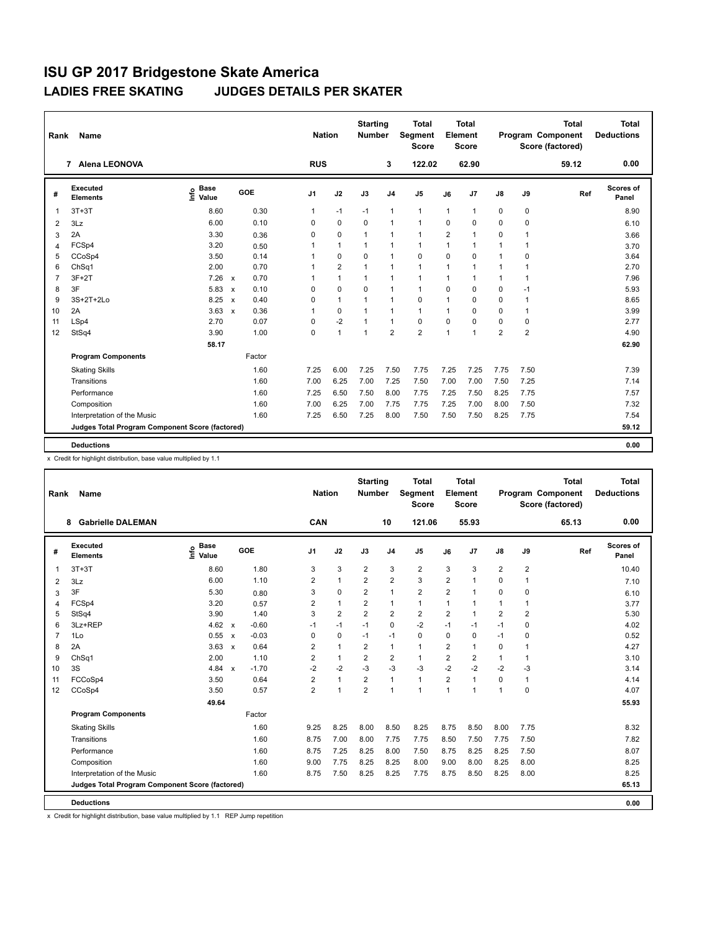| Rank           | <b>Name</b>                                     |                                             |                           |        | <b>Nation</b> |                | <b>Starting</b><br>Number |                | <b>Total</b><br>Segment<br><b>Score</b> |                | <b>Total</b><br>Element<br><b>Score</b> |                |                | <b>Total</b><br>Program Component<br>Score (factored) | <b>Total</b><br><b>Deductions</b> |
|----------------|-------------------------------------------------|---------------------------------------------|---------------------------|--------|---------------|----------------|---------------------------|----------------|-----------------------------------------|----------------|-----------------------------------------|----------------|----------------|-------------------------------------------------------|-----------------------------------|
|                | <b>Alena LEONOVA</b><br>$\overline{7}$          |                                             |                           |        | <b>RUS</b>    |                |                           | 3              | 122.02                                  |                | 62.90                                   |                |                | 59.12                                                 | 0.00                              |
| #              | Executed<br><b>Elements</b>                     | <b>Base</b><br>e <sup>Base</sup><br>⊆ Value | GOE                       |        | J1            | J2             | J3                        | J <sub>4</sub> | J <sub>5</sub>                          | J6             | J7                                      | $\mathsf{J}8$  | J9             | Ref                                                   | <b>Scores of</b><br>Panel         |
|                | $3T+3T$                                         | 8.60                                        |                           | 0.30   | $\mathbf{1}$  | $-1$           | $-1$                      | $\mathbf{1}$   | $\mathbf{1}$                            | $\mathbf{1}$   | $\overline{1}$                          | 0              | 0              |                                                       | 8.90                              |
| $\overline{2}$ | 3Lz                                             | 6.00                                        |                           | 0.10   | $\Omega$      | $\Omega$       | $\Omega$                  | $\mathbf{1}$   | $\mathbf{1}$                            | $\Omega$       | $\Omega$                                | $\Omega$       | 0              |                                                       | 6.10                              |
| 3              | 2A                                              | 3.30                                        |                           | 0.36   | 0             | 0              | $\mathbf{1}$              | $\mathbf{1}$   | $\mathbf{1}$                            | $\overline{2}$ | 1                                       | 0              | 1              |                                                       | 3.66                              |
| $\overline{4}$ | FCSp4                                           | 3.20                                        |                           | 0.50   | 1             | $\mathbf{1}$   | $\mathbf{1}$              | 1              | $\overline{1}$                          | $\mathbf{1}$   | $\overline{1}$                          | $\mathbf{1}$   | 1              |                                                       | 3.70                              |
| 5              | CCoSp4                                          | 3.50                                        |                           | 0.14   | 1             | 0              | 0                         | $\mathbf{1}$   | $\mathbf 0$                             | $\mathbf 0$    | 0                                       | $\mathbf{1}$   | 0              |                                                       | 3.64                              |
| 6              | Ch <sub>Sq1</sub>                               | 2.00                                        |                           | 0.70   | $\mathbf 1$   | $\overline{2}$ | $\mathbf{1}$              | $\mathbf{1}$   | $\mathbf{1}$                            | $\mathbf{1}$   | -1                                      | $\mathbf{1}$   | 1              |                                                       | 2.70                              |
| 7              | $3F+2T$                                         | 7.26                                        | $\mathsf{x}$              | 0.70   |               | $\mathbf{1}$   | $\mathbf{1}$              | 1              | $\mathbf{1}$                            | $\mathbf{1}$   |                                         | $\mathbf{1}$   |                |                                                       | 7.96                              |
| 8              | 3F                                              | 5.83                                        | $\boldsymbol{\mathsf{x}}$ | 0.10   | $\Omega$      | $\Omega$       | $\Omega$                  | $\mathbf{1}$   | $\mathbf{1}$                            | $\Omega$       | 0                                       | $\mathbf 0$    | $-1$           |                                                       | 5.93                              |
| 9              | 3S+2T+2Lo                                       | 8.25                                        | $\boldsymbol{\mathsf{x}}$ | 0.40   | 0             | $\mathbf{1}$   | $\mathbf{1}$              | 1              | 0                                       | $\mathbf{1}$   | 0                                       | 0              | 1              |                                                       | 8.65                              |
| 10             | 2A                                              | 3.63                                        | $\mathsf{x}$              | 0.36   | 1             | 0              | $\mathbf{1}$              | $\mathbf{1}$   | $\mathbf{1}$                            | $\mathbf{1}$   | 0                                       | 0              | 1              |                                                       | 3.99                              |
| 11             | LSp4                                            | 2.70                                        |                           | 0.07   | 0             | $-2$           | $\mathbf{1}$              | $\mathbf{1}$   | $\mathbf 0$                             | $\mathbf 0$    | $\Omega$                                | $\mathbf 0$    | 0              |                                                       | 2.77                              |
| 12             | StSq4                                           | 3.90                                        |                           | 1.00   | 0             | $\mathbf{1}$   | $\mathbf{1}$              | $\overline{2}$ | $\overline{2}$                          | $\mathbf{1}$   | 1                                       | $\overline{2}$ | $\overline{2}$ |                                                       | 4.90                              |
|                |                                                 | 58.17                                       |                           |        |               |                |                           |                |                                         |                |                                         |                |                |                                                       | 62.90                             |
|                | <b>Program Components</b>                       |                                             |                           | Factor |               |                |                           |                |                                         |                |                                         |                |                |                                                       |                                   |
|                | <b>Skating Skills</b>                           |                                             |                           | 1.60   | 7.25          | 6.00           | 7.25                      | 7.50           | 7.75                                    | 7.25           | 7.25                                    | 7.75           | 7.50           |                                                       | 7.39                              |
|                | Transitions                                     |                                             |                           | 1.60   | 7.00          | 6.25           | 7.00                      | 7.25           | 7.50                                    | 7.00           | 7.00                                    | 7.50           | 7.25           |                                                       | 7.14                              |
|                | Performance                                     |                                             |                           | 1.60   | 7.25          | 6.50           | 7.50                      | 8.00           | 7.75                                    | 7.25           | 7.50                                    | 8.25           | 7.75           |                                                       | 7.57                              |
|                | Composition                                     |                                             |                           | 1.60   | 7.00          | 6.25           | 7.00                      | 7.75           | 7.75                                    | 7.25           | 7.00                                    | 8.00           | 7.50           |                                                       | 7.32                              |
|                | Interpretation of the Music                     |                                             |                           | 1.60   | 7.25          | 6.50           | 7.25                      | 8.00           | 7.50                                    | 7.50           | 7.50                                    | 8.25           | 7.75           |                                                       | 7.54                              |
|                | Judges Total Program Component Score (factored) |                                             |                           |        |               |                |                           |                |                                         |                |                                         |                |                |                                                       | 59.12                             |
|                | <b>Deductions</b>                               |                                             |                           |        |               |                |                           |                |                                         |                |                                         |                |                |                                                       | 0.00                              |

x Credit for highlight distribution, base value multiplied by 1.1

| Rank           | <b>Name</b>                                     |                            |                                   | <b>Nation</b>  |                | <b>Starting</b><br><b>Number</b> |                | Total<br>Segment<br><b>Score</b> |                | <b>Total</b><br>Element<br><b>Score</b> |                |                | <b>Total</b><br>Program Component<br>Score (factored) | <b>Total</b><br><b>Deductions</b> |
|----------------|-------------------------------------------------|----------------------------|-----------------------------------|----------------|----------------|----------------------------------|----------------|----------------------------------|----------------|-----------------------------------------|----------------|----------------|-------------------------------------------------------|-----------------------------------|
|                | <b>Gabrielle DALEMAN</b><br>8                   |                            |                                   | CAN            |                |                                  | 10             | 121.06                           |                | 55.93                                   |                |                | 65.13                                                 | 0.00                              |
| #              | Executed<br><b>Elements</b>                     | <b>Base</b><br>۴ů<br>Value | GOE                               | J <sub>1</sub> | J2             | J3                               | J <sub>4</sub> | J <sub>5</sub>                   | J6             | J7                                      | $\mathsf{J}8$  | J9             | Ref                                                   | <b>Scores of</b><br>Panel         |
| 1              | $3T+3T$                                         | 8.60                       | 1.80                              | 3              | 3              | $\overline{2}$                   | 3              | $\overline{2}$                   | 3              | 3                                       | $\overline{2}$ | $\overline{2}$ |                                                       | 10.40                             |
| 2              | 3Lz                                             | 6.00                       | 1.10                              | $\overline{2}$ | $\mathbf{1}$   | $\overline{2}$                   | $\overline{2}$ | 3                                | $\overline{2}$ | 1                                       | $\Omega$       | $\mathbf{1}$   |                                                       | 7.10                              |
| 3              | 3F                                              | 5.30                       | 0.80                              | 3              | $\mathbf 0$    | 2                                | $\mathbf{1}$   | $\overline{2}$                   | $\overline{2}$ | 1                                       | 0              | 0              |                                                       | 6.10                              |
| 4              | FCSp4                                           | 3.20                       | 0.57                              | $\overline{2}$ | $\mathbf{1}$   | $\overline{2}$                   | $\mathbf{1}$   | $\mathbf{1}$                     | 1              | 1                                       | 1              | 1              |                                                       | 3.77                              |
| 5              | StSq4                                           | 3.90                       | 1.40                              | 3              | $\overline{2}$ | $\overline{2}$                   | $\overline{2}$ | $\overline{2}$                   | $\overline{2}$ | $\mathbf{1}$                            | $\overline{2}$ | $\overline{2}$ |                                                       | 5.30                              |
| 6              | 3Lz+REP                                         | 4.62                       | $-0.60$<br>$\mathsf{x}$           | $-1$           | $-1$           | $-1$                             | $\mathbf 0$    | $-2$                             | $-1$           | $-1$                                    | $-1$           | 0              |                                                       | 4.02                              |
| $\overline{7}$ | 1Lo                                             | 0.55                       | $-0.03$<br>$\mathsf{x}$           | 0              | $\mathbf 0$    | $-1$                             | $-1$           | $\mathbf 0$                      | 0              | 0                                       | $-1$           | 0              |                                                       | 0.52                              |
| 8              | 2A                                              | 3.63                       | 0.64<br>$\boldsymbol{\mathsf{x}}$ | 2              | $\mathbf{1}$   | 2                                | $\mathbf{1}$   | $\mathbf{1}$                     | $\overline{2}$ | 1                                       | 0              | 1              |                                                       | 4.27                              |
| 9              | ChSq1                                           | 2.00                       | 1.10                              | $\overline{2}$ | $\mathbf{1}$   | $\overline{2}$                   | $\overline{2}$ | $\mathbf{1}$                     | $\overline{2}$ | $\overline{2}$                          | 1              | 1              |                                                       | 3.10                              |
| 10             | 3S                                              | 4.84                       | $-1.70$<br>$\mathsf{x}$           | $-2$           | $-2$           | $-3$                             | $-3$           | $-3$                             | $-2$           | $-2$                                    | $-2$           | $-3$           |                                                       | 3.14                              |
| 11             | FCCoSp4                                         | 3.50                       | 0.64                              | $\overline{2}$ | $\mathbf{1}$   | $\overline{2}$                   | $\mathbf{1}$   | $\mathbf{1}$                     | $\overline{2}$ | $\blacktriangleleft$                    | 0              | 1              |                                                       | 4.14                              |
| 12             | CCoSp4                                          | 3.50                       | 0.57                              | $\overline{2}$ | $\mathbf{1}$   | $\overline{2}$                   | $\mathbf{1}$   | $\mathbf{1}$                     | $\mathbf{1}$   | 1                                       | $\mathbf{1}$   | 0              |                                                       | 4.07                              |
|                |                                                 | 49.64                      |                                   |                |                |                                  |                |                                  |                |                                         |                |                |                                                       | 55.93                             |
|                | <b>Program Components</b>                       |                            | Factor                            |                |                |                                  |                |                                  |                |                                         |                |                |                                                       |                                   |
|                | <b>Skating Skills</b>                           |                            | 1.60                              | 9.25           | 8.25           | 8.00                             | 8.50           | 8.25                             | 8.75           | 8.50                                    | 8.00           | 7.75           |                                                       | 8.32                              |
|                | Transitions                                     |                            | 1.60                              | 8.75           | 7.00           | 8.00                             | 7.75           | 7.75                             | 8.50           | 7.50                                    | 7.75           | 7.50           |                                                       | 7.82                              |
|                | Performance                                     |                            | 1.60                              | 8.75           | 7.25           | 8.25                             | 8.00           | 7.50                             | 8.75           | 8.25                                    | 8.25           | 7.50           |                                                       | 8.07                              |
|                | Composition                                     |                            | 1.60                              | 9.00           | 7.75           | 8.25                             | 8.25           | 8.00                             | 9.00           | 8.00                                    | 8.25           | 8.00           |                                                       | 8.25                              |
|                | Interpretation of the Music                     |                            | 1.60                              | 8.75           | 7.50           | 8.25                             | 8.25           | 7.75                             | 8.75           | 8.50                                    | 8.25           | 8.00           |                                                       | 8.25                              |
|                | Judges Total Program Component Score (factored) |                            |                                   |                |                |                                  |                |                                  |                |                                         |                |                |                                                       | 65.13                             |
|                | <b>Deductions</b>                               |                            |                                   |                |                |                                  |                |                                  |                |                                         |                |                |                                                       | 0.00                              |

x Credit for highlight distribution, base value multiplied by 1.1 REP Jump repetition